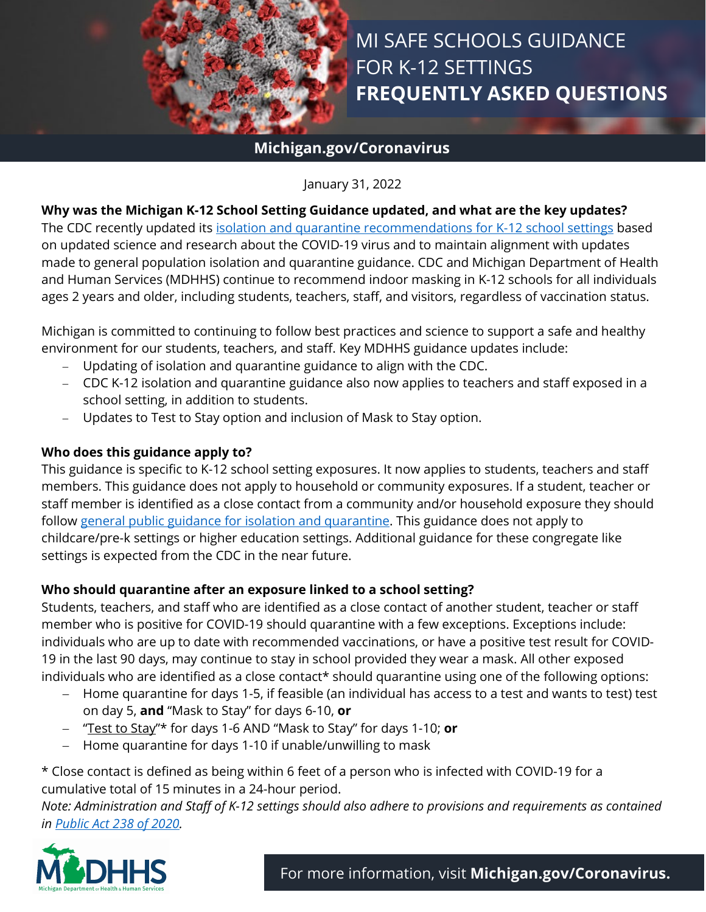

# MI SAFE SCHOOLS GUIDANCE FOR K-12 SETTINGS **FREQUENTLY ASKED QUESTIONS**

### **Michigan.gov/Coronavirus**

January 31, 2022

#### **Why was the Michigan K-12 School Setting Guidance updated, and what are the key updates?**

The CDC recently updated its [isolation and quarantine recommendations for K-12 school settings](https://www.cdc.gov/coronavirus/2019-ncov/community/schools-childcare/k-12-contact-tracing/about-quarantine.html) based on updated science and research about the COVID-19 virus and to maintain alignment with updates made to general population isolation and quarantine guidance. CDC and Michigan Department of Health and Human Services (MDHHS) continue to recommend indoor masking in K-12 schools for all individuals ages 2 years and older, including students, teachers, staff, and visitors, regardless of vaccination status.

Michigan is committed to continuing to follow best practices and science to support a safe and healthy environment for our students, teachers, and staff. Key MDHHS guidance updates include:

- − Updating of isolation and quarantine guidance to align with the CDC.
- − CDC K-12 isolation and quarantine guidance also now applies to teachers and staff exposed in a school setting, in addition to students.
- − Updates to Test to Stay option and inclusion of Mask to Stay option.

#### **Who does this guidance apply to?**

This guidance is specific to K-12 school setting exposures. It now applies to students, teachers and staff members. This guidance does not apply to household or community exposures. If a student, teacher or staff member is identified as a close contact from a community and/or household exposure they should follow [general public guidance for isolation and quarantine.](http://www.michigan.gov/containcovid) This guidance does not apply to childcare/pre-k settings or higher education settings. Additional guidance for these congregate like settings is expected from the CDC in the near future.

#### **Who should quarantine after an exposure linked to a school setting?**

Students, teachers, and staff who are identified as a close contact of another student, teacher or staff member who is positive for COVID-19 should quarantine with a few exceptions. Exceptions include: individuals who are up to date with recommended vaccinations, or have a positive test result for COVID-19 in the last 90 days, may continue to stay in school provided they wear a mask. All other exposed individuals who are identified as a close contact\* should quarantine using one of the following options:

- − Home quarantine for days 1-5, if feasible (an individual has access to a test and wants to test) test on day 5, **and** "Mask to Stay" for days 6-10, **or**
- − ["Test to Stay"](https://www.cdc.gov/coronavirus/2019-ncov/community/schools-childcare/what-you-should-know.html)\* for days 1-6 AND "Mask to Stay" for days 1-10; **or**
- − Home quarantine for days 1-10 if unable/unwilling to mask

\* Close contact is defined as being within 6 feet of a person who is infected with COVID-19 for a cumulative total of 15 minutes in a 24-hour period.

*Note: Administration and Staff of K-12 settings should also adhere to provisions and requirements as contained in [Public Act 238 of 2020.](http://www.legislature.mi.gov/(S(f3wcnpcjukdyk5jeja1iubpe))/printDocument.aspx?objectName=mcl-Act-238-of-2020&version=txt)*

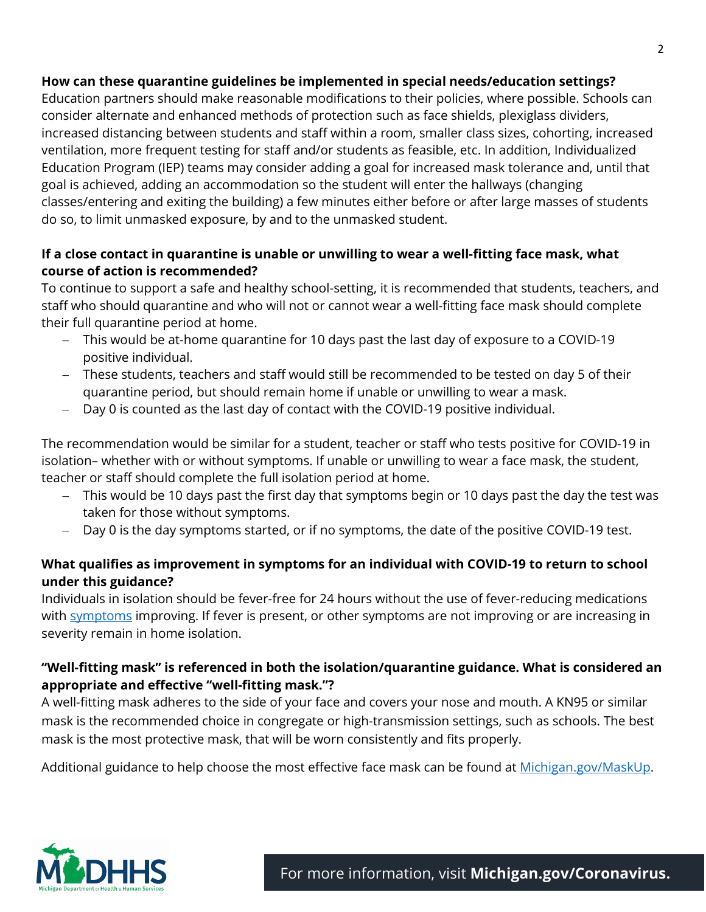#### **How can these quarantine guidelines be implemented in special needs/education settings?**

Education partners should make reasonable modifications to their policies, where possible. Schools can consider alternate and enhanced methods of protection such as face shields, plexiglass dividers, increased distancing between students and staff within a room, smaller class sizes, cohorting, increased ventilation, more frequent testing for staff and/or students as feasible, etc. In addition, Individualized Education Program (IEP) teams may consider adding a goal for increased mask tolerance and, until that goal is achieved, adding an accommodation so the student will enter the hallways (changing classes/entering and exiting the building) a few minutes either before or after large masses of students do so, to limit unmasked exposure, by and to the unmasked student.

#### **If a close contact in quarantine is unable or unwilling to wear a well-fitting face mask, what course of action is recommended?**

To continue to support a safe and healthy school-setting, it is recommended that students, teachers, and staff who should quarantine and who will not or cannot wear a well-fitting face mask should complete their full quarantine period at home.

- − This would be at-home quarantine for 10 days past the last day of exposure to a COVID-19 positive individual.
- − These students, teachers and staff would still be recommended to be tested on day 5 of their quarantine period, but should remain home if unable or unwilling to wear a mask.
- − Day 0 is counted as the last day of contact with the COVID-19 positive individual.

The recommendation would be similar for a student, teacher or staff who tests positive for COVID-19 in isolation– whether with or without symptoms. If unable or unwilling to wear a face mask, the student, teacher or staff should complete the full isolation period at home.

- − This would be 10 days past the first day that symptoms begin or 10 days past the day the test was taken for those without symptoms.
- − Day 0 is the day symptoms started, or if no symptoms, the date of the positive COVID-19 test.

#### **What qualifies as improvement in symptoms for an individual with COVID-19 to return to school under this guidance?**

Individuals in isolation should be fever-free for 24 hours without the use of fever-reducing medications with **symptoms** improving. If fever is present, or other [symptoms](https://www.cdc.gov/coronavirus/2019-ncov/symptoms-testing/symptoms.html) are not improving or are increasing in severity remain in home isolation.

#### **"Well-fitting mask" is referenced in both the isolation/quarantine guidance. What is considered an appropriate and effective "well-fitting mask."?**

A well-fitting mask adheres to the side of your face and covers your nose and mouth. A KN95 or similar mask is the recommended choice in congregate or high-transmission settings, such as schools. The best mask is the most protective mask, that will be worn consistently and fits properly.

Additional guidance to help choose the most effective face mask can be found at [Michigan.gov/MaskUp.](http://www.michigan.gov/maskup)

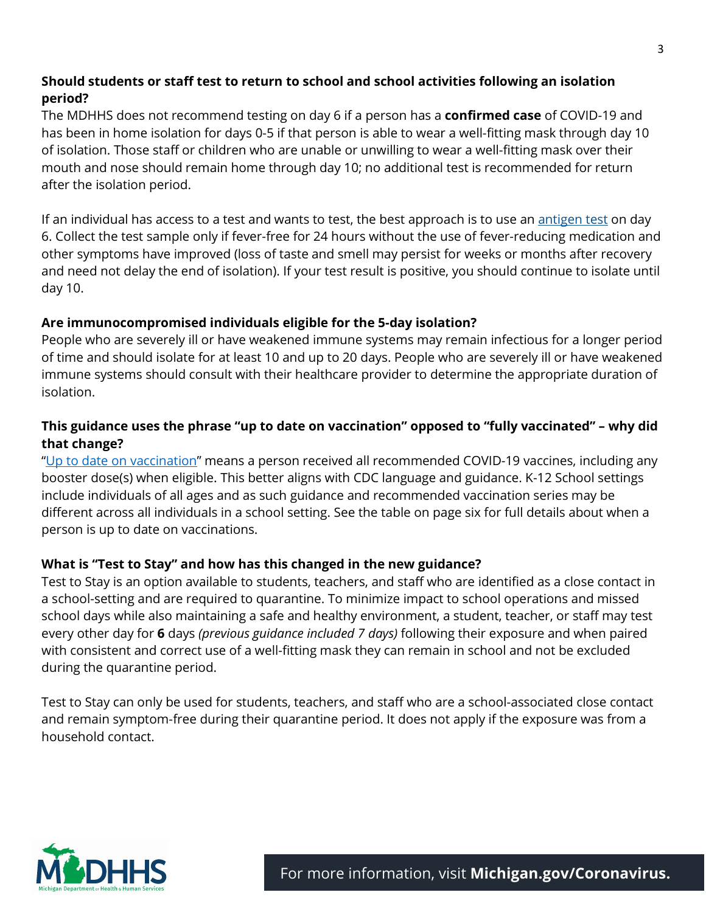#### **Should students or staff test to return to school and school activities following an isolation period?**

The MDHHS does not recommend testing on day 6 if a person has a **confirmed case** of COVID-19 and has been in home isolation for days 0-5 if that person is able to wear a well-fitting mask through day 10 of isolation. Those staff or children who are unable or unwilling to wear a well-fitting mask over their mouth and nose should remain home through day 10; no additional test is recommended for return after the isolation period.

If an individual has access to a test and wants to test, the best approach is to use an [antigen test](https://www.cdc.gov/coronavirus/2019-ncov/hcp/testing-overview.html) on day 6. Collect the test sample only if fever-free for 24 hours without the use of fever-reducing medication and other symptoms have improved (loss of taste and smell may persist for weeks or months after recovery and need not delay the end of isolation). If your test result is positive, you should continue to isolate until day 10.

#### **Are immunocompromised individuals eligible for the 5-day isolation?**

People who are severely ill or have weakened immune systems may remain infectious for a longer period of time and should isolate for at least 10 and up to 20 days. People who are severely ill or have weakened immune systems should consult with their healthcare provider to determine the appropriate duration of isolation.

#### **This guidance uses the phrase "up to date on vaccination" opposed to "fully vaccinated" – why did that change?**

["Up to date on vaccination"](https://www.cdc.gov/coronavirus/2019-ncov/vaccines/stay-up-to-date.html#:%7E:text=Up%20to%20date%20means%20a,series%20of%20COVID%2D19%20vaccines.) means a person received all recommended COVID-19 vaccines, including any booster dose(s) when eligible. This better aligns with CDC language and guidance. K-12 School settings include individuals of all ages and as such guidance and recommended vaccination series may be different across all individuals in a school setting. See the table on page six for full details about when a person is up to date on vaccinations.

#### **What is "Test to Stay" and how has this changed in the new guidance?**

[Test to Stay](https://www.cdc.gov/media/releases/2021/s1217-Test-To-Stay.html) is an option available to students, teachers, and staff who are identified as a close contact in a school-setting and are required to quarantine. To minimize impact to school operations and missed school days while also maintaining a safe and healthy environment, a student, teacher, or staff may test every other day for **6** days *(previous guidance included 7 days)* following their exposure and when paired with consistent and correct use of a well-fitting mask they can remain in school and not be excluded during the quarantine period.

Test to Stay can only be used for students, teachers, and staff who are a school-associated close contact and remain symptom-free during their quarantine period. It does not apply if the exposure was from a household contact.



For more information, visit **[Michigan.gov/Coronavirus.](http://www.michigan.gov/Coronavirus)**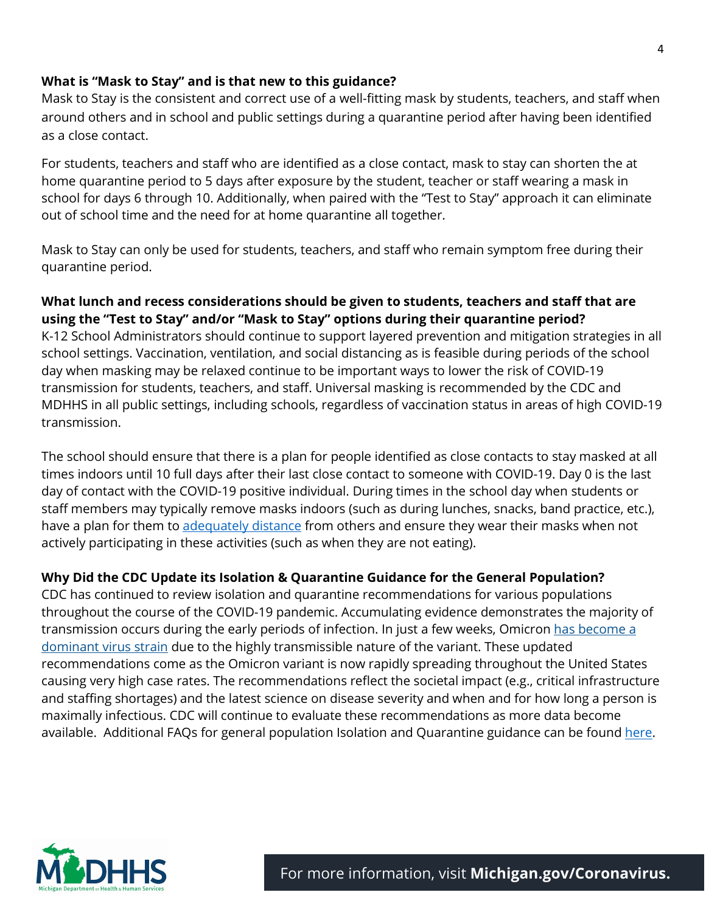#### **What is "Mask to Stay" and is that new to this guidance?**

[Mask to Stay](https://www.michigan.gov/coronavirus/0,9753,7-406-100997_100998---,00.html) is the consistent and correct use of a well-fitting mask by students, teachers, and staff when around others and in school and public settings during a quarantine period after having been identified as a close contact.

For students, teachers and staff who are identified as a close contact, mask to stay can shorten the at home quarantine period to 5 days after exposure by the student, teacher or staff wearing a mask in school for days 6 through 10. Additionally, when paired with the "Test to Stay" approach it can eliminate out of school time and the need for at home quarantine all together.

Mask to Stay can only be used for students, teachers, and staff who remain symptom free during their quarantine period.

### **What lunch and recess considerations should be given to students, teachers and staff that are using the "Test to Stay" and/or "Mask to Stay" options during their quarantine period?**

K-12 School Administrators should continue to support layered prevention and mitigation strategies in all school settings. Vaccination, ventilation, and social distancing as is feasible during periods of the school day when masking may be relaxed continue to be important ways to lower the risk of COVID-19 transmission for students, teachers, and staff. Universal masking is recommended by the CDC and MDHHS in all public settings, including schools, regardless of vaccination status in areas of high COVID-19 transmission.

The school should ensure that there is a plan for people identified as close contacts to stay masked at all times indoors until 10 full days after their last close contact to someone with COVID-19. Day 0 is the last day of contact with the COVID-19 positive individual. During times in the school day when students or staff members may typically remove masks indoors (such as during lunches, snacks, band practice, etc.), have a plan for them to [adequately distance](https://www.cdc.gov/coronavirus/2019-ncov/community/schools-childcare/k-12-guidance.html#:%7E:text=3.%20Physical%20Distancing) from others and ensure they wear their masks when not actively participating in these activities (such as when they are not eating).

#### **Why Did the CDC Update its Isolation & Quarantine Guidance for the General Population?**

CDC has continued to review isolation and quarantine recommendations for various populations throughout the course of the COVID-19 pandemic. Accumulating evidence demonstrates the majority of transmission occurs during the early periods of infection. In just a few weeks, Omicron has become a [dominant virus strain](https://covid.cdc.gov/covid-data-tracker/#circulatingVariants) due to the highly transmissible nature of the variant. These updated recommendations come as the Omicron variant is now rapidly spreading throughout the United States causing very high case rates. The recommendations reflect the societal impact (e.g., critical infrastructure and staffing shortages) and the latest science on disease severity and when and for how long a person is maximally infectious. CDC will continue to evaluate these recommendations as more data become available. Additional FAQs for general population Isolation and Quarantine guidance can be found [here.](https://www.cdc.gov/coronavirus/2019-ncov/if-you-are-sick/quarantine-isolation-background.html)

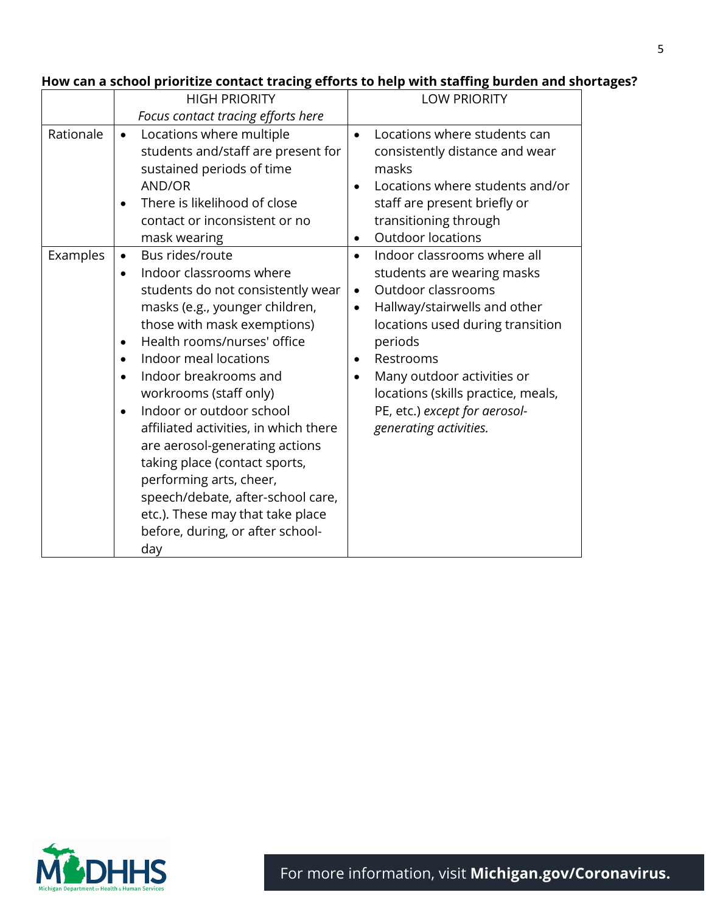#### HIGH PRIORITY *Focus contact tracing efforts here* LOW PRIORITY Rationale  $\bullet$  Locations where multiple students and/staff are present for sustained periods of time AND/OR • There is likelihood of close contact or inconsistent or no mask wearing • Locations where students can consistently distance and wear masks • Locations where students and/or staff are present briefly or transitioning through • Outdoor locations Examples  $| \bullet \quad$  Bus rides/route • Indoor classrooms where students do not consistently wear masks (e.g., younger children, those with mask exemptions) • Health rooms/nurses' office • Indoor meal locations • Indoor breakrooms and workrooms (staff only) • Indoor or outdoor school affiliated activities, in which there are aerosol-generating actions taking place (contact sports, performing arts, cheer, speech/debate, after-school care, etc.). These may that take place before, during, or after schoolday • Indoor classrooms where all students are wearing masks • Outdoor classrooms • Hallway/stairwells and other locations used during transition periods • Restrooms • Many outdoor activities or locations (skills practice, meals, PE, etc.) *except for aerosolgenerating activities.*

#### **How can a school prioritize contact tracing efforts to help with staffing burden and shortages?**



For more information, visit **[Michigan.gov/Coronavirus.](http://www.michigan.gov/Coronavirus)**